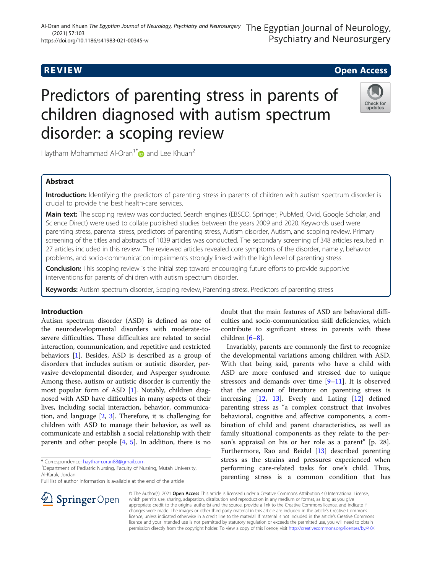# **REVIEW ACCESS AND LOCAL CONTRACT CONTRACT OF ACCESS**

# Predictors of parenting stress in parents of children diagnosed with autism spectrum disorder: a scoping review



Haytham Mohammad Al-Oran<sup>1[\\*](http://orcid.org/0000-0002-5493-0268)</sup> and Lee Khuan<sup>2</sup>

# Abstract

Introduction: Identifying the predictors of parenting stress in parents of children with autism spectrum disorder is crucial to provide the best health-care services.

Main text: The scoping review was conducted. Search engines (EBSCO, Springer, PubMed, Ovid, Google Scholar, and Science Direct) were used to collate published studies between the years 2009 and 2020. Keywords used were parenting stress, parental stress, predictors of parenting stress, Autism disorder, Autism, and scoping review. Primary screening of the titles and abstracts of 1039 articles was conducted. The secondary screening of 348 articles resulted in 27 articles included in this review. The reviewed articles revealed core symptoms of the disorder, namely, behavior problems, and socio-communication impairments strongly linked with the high level of parenting stress.

**Conclusion:** This scoping review is the initial step toward encouraging future efforts to provide supportive interventions for parents of children with autism spectrum disorder.

Keywords: Autism spectrum disorder, Scoping review, Parenting stress, Predictors of parenting stress

## Introduction

Autism spectrum disorder (ASD) is defined as one of the neurodevelopmental disorders with moderate-tosevere difficulties. These difficulties are related to social interaction, communication, and repetitive and restricted behaviors [\[1](#page-6-0)]. Besides, ASD is described as a group of disorders that includes autism or autistic disorder, pervasive developmental disorder, and Asperger syndrome. Among these, autism or autistic disorder is currently the most popular form of ASD [\[1\]](#page-6-0). Notably, children diagnosed with ASD have difficulties in many aspects of their lives, including social interaction, behavior, communication, and language [[2](#page-6-0), [3](#page-6-0)]. Therefore, it is challenging for children with ASD to manage their behavior, as well as communicate and establish a social relationship with their parents and other people [\[4,](#page-6-0) [5](#page-6-0)]. In addition, there is no

\* Correspondence: [haytham.oran88@gmail.com](mailto:haytham.oran88@gmail.com) <sup>1</sup>

 $\mathcal{L}$  Springer Open

<sup>1</sup> Department of Pediatric Nursing, Faculty of Nursing, Mutah University, Al-Karak, Jordan

Full list of author information is available at the end of the article



Invariably, parents are commonly the first to recognize the developmental variations among children with ASD. With that being said, parents who have a child with ASD are more confused and stressed due to unique stressors and demands over time  $[9-11]$  $[9-11]$  $[9-11]$ . It is observed that the amount of literature on parenting stress is increasing [\[12](#page-7-0), [13](#page-7-0)]. Everly and Lating [\[12](#page-7-0)] defined parenting stress as "a complex construct that involves behavioral, cognitive and affective components, a combination of child and parent characteristics, as well as family situational components as they relate to the person's appraisal on his or her role as a parent" [p. 28]. Furthermore, Rao and Beidel [[13\]](#page-7-0) described parenting stress as the strains and pressures experienced when performing care-related tasks for one's child. Thus, parenting stress is a common condition that has

© The Author(s). 2021 Open Access This article is licensed under a Creative Commons Attribution 4.0 International License, which permits use, sharing, adaptation, distribution and reproduction in any medium or format, as long as you give appropriate credit to the original author(s) and the source, provide a link to the Creative Commons licence, and indicate if changes were made. The images or other third party material in this article are included in the article's Creative Commons licence, unless indicated otherwise in a credit line to the material. If material is not included in the article's Creative Commons licence and your intended use is not permitted by statutory regulation or exceeds the permitted use, you will need to obtain permission directly from the copyright holder. To view a copy of this licence, visit <http://creativecommons.org/licenses/by/4.0/>.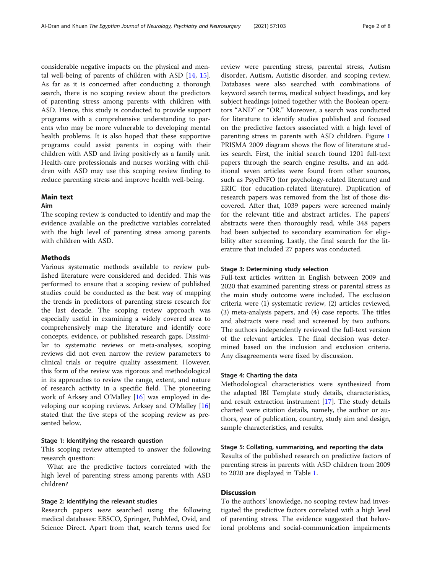considerable negative impacts on the physical and mental well-being of parents of children with ASD [[14](#page-7-0), [15](#page-7-0)]. As far as it is concerned after conducting a thorough search, there is no scoping review about the predictors of parenting stress among parents with children with ASD. Hence, this study is conducted to provide support programs with a comprehensive understanding to parents who may be more vulnerable to developing mental health problems. It is also hoped that these supportive programs could assist parents in coping with their children with ASD and living positively as a family unit. Health-care professionals and nurses working with children with ASD may use this scoping review finding to reduce parenting stress and improve health well-being.

#### Main text

#### Aim

The scoping review is conducted to identify and map the evidence available on the predictive variables correlated with the high level of parenting stress among parents with children with ASD.

#### Methods

Various systematic methods available to review published literature were considered and decided. This was performed to ensure that a scoping review of published studies could be conducted as the best way of mapping the trends in predictors of parenting stress research for the last decade. The scoping review approach was especially useful in examining a widely covered area to comprehensively map the literature and identify core concepts, evidence, or published research gaps. Dissimilar to systematic reviews or meta-analyses, scoping reviews did not even narrow the review parameters to clinical trials or require quality assessment. However, this form of the review was rigorous and methodological in its approaches to review the range, extent, and nature of research activity in a specific field. The pioneering work of Arksey and O'Malley [\[16\]](#page-7-0) was employed in developing our scoping reviews. Arksey and O'Malley [[16](#page-7-0)] stated that the five steps of the scoping review as presented below.

#### Stage 1: Identifying the research question

This scoping review attempted to answer the following research question:

What are the predictive factors correlated with the high level of parenting stress among parents with ASD children?

#### Stage 2: Identifying the relevant studies

Research papers were searched using the following medical databases: EBSCO, Springer, PubMed, Ovid, and Science Direct. Apart from that, search terms used for

review were parenting stress, parental stress, Autism disorder, Autism, Autistic disorder, and scoping review. Databases were also searched with combinations of keyword search terms, medical subject headings, and key subject headings joined together with the Boolean operators "AND" or "OR." Moreover, a search was conducted for literature to identify studies published and focused on the predictive factors associated with a high level of parenting stress in parents with ASD children. Figure [1](#page-2-0) PRISMA 2009 diagram shows the flow of literature studies search. First, the initial search found 1201 full-text papers through the search engine results, and an additional seven articles were found from other sources, such as PsycINFO (for psychology-related literature) and ERIC (for education-related literature). Duplication of research papers was removed from the list of those discovered. After that, 1039 papers were screened mainly for the relevant title and abstract articles. The papers' abstracts were then thoroughly read, while 348 papers had been subjected to secondary examination for eligibility after screening. Lastly, the final search for the literature that included 27 papers was conducted.

#### Stage 3: Determining study selection

Full-text articles written in English between 2009 and 2020 that examined parenting stress or parental stress as the main study outcome were included. The exclusion criteria were (1) systematic review, (2) articles reviewed, (3) meta-analysis papers, and (4) case reports. The titles and abstracts were read and screened by two authors. The authors independently reviewed the full-text version of the relevant articles. The final decision was determined based on the inclusion and exclusion criteria. Any disagreements were fixed by discussion.

#### Stage 4: Charting the data

Methodological characteristics were synthesized from the adapted JBI Template study details, characteristics, and result extraction instrument [[17](#page-7-0)]. The study details charted were citation details, namely, the author or authors, year of publication, country, study aim and design, sample characteristics, and results.

#### Stage 5: Collating, summarizing, and reporting the data

Results of the published research on predictive factors of parenting stress in parents with ASD children from 2009 to 2020 are displayed in Table [1](#page-3-0).

### **Discussion**

To the authors' knowledge, no scoping review had investigated the predictive factors correlated with a high level of parenting stress. The evidence suggested that behavioral problems and social-communication impairments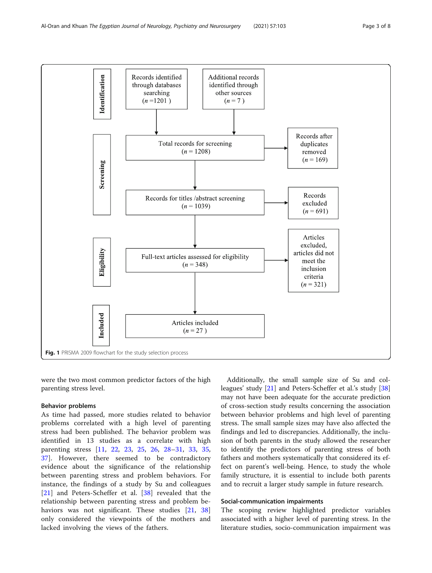<span id="page-2-0"></span>

were the two most common predictor factors of the high parenting stress level.

#### Behavior problems

As time had passed, more studies related to behavior problems correlated with a high level of parenting stress had been published. The behavior problem was identified in 13 studies as a correlate with high parenting stress [[11,](#page-7-0) [22](#page-7-0), [23](#page-7-0), [25,](#page-7-0) [26,](#page-7-0) [28](#page-7-0)–[31,](#page-7-0) [33](#page-7-0), [35](#page-7-0), [37\]](#page-7-0). However, there seemed to be contradictory evidence about the significance of the relationship between parenting stress and problem behaviors. For instance, the findings of a study by Su and colleagues [[21\]](#page-7-0) and Peters-Scheffer et al. [[38\]](#page-7-0) revealed that the relationship between parenting stress and problem be-haviors was not significant. These studies [\[21](#page-7-0), [38](#page-7-0)] only considered the viewpoints of the mothers and lacked involving the views of the fathers.

Additionally, the small sample size of Su and colleagues' study [\[21\]](#page-7-0) and Peters-Scheffer et al.'s study [[38](#page-7-0)] may not have been adequate for the accurate prediction of cross-section study results concerning the association between behavior problems and high level of parenting stress. The small sample sizes may have also affected the findings and led to discrepancies. Additionally, the inclusion of both parents in the study allowed the researcher to identify the predictors of parenting stress of both fathers and mothers systematically that considered its effect on parent's well-being. Hence, to study the whole family structure, it is essential to include both parents and to recruit a larger study sample in future research.

#### Social-communication impairments

The scoping review highlighted predictor variables associated with a higher level of parenting stress. In the literature studies, socio-communication impairment was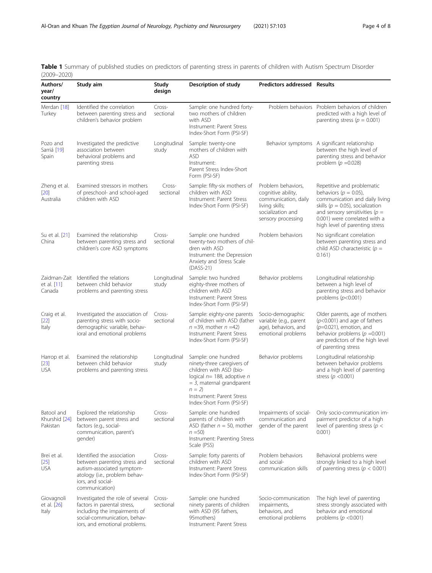<span id="page-3-0"></span>

|                 | Table 1 Summary of published studies on predictors of parenting stress in parents of children with Autism Spectrum Disorder |  |  |
|-----------------|-----------------------------------------------------------------------------------------------------------------------------|--|--|
| $(2009 - 2020)$ |                                                                                                                             |  |  |

| Authors/<br>year/<br>country            | Study aim                                                                                                                                                        |                       | Description of study                                                                                                                                                                                             | <b>Predictors addressed Results</b>                                                                                           |                                                                                                                                                                                                                                           |  |  |
|-----------------------------------------|------------------------------------------------------------------------------------------------------------------------------------------------------------------|-----------------------|------------------------------------------------------------------------------------------------------------------------------------------------------------------------------------------------------------------|-------------------------------------------------------------------------------------------------------------------------------|-------------------------------------------------------------------------------------------------------------------------------------------------------------------------------------------------------------------------------------------|--|--|
| Merdan [18]<br>Turkey                   | Identified the correlation<br>between parenting stress and<br>children's behavior problem                                                                        | Cross-<br>sectional   | Sample: one hundred forty-<br>two mothers of children<br>with ASD<br>Instrument: Parent Stress<br>Index-Short Form (PSI-SF)                                                                                      | Problem behaviors                                                                                                             | Problem behaviors of children<br>predicted with a high level of<br>parenting stress ( $p = 0.001$ )                                                                                                                                       |  |  |
| Pozo and<br>Sarriá [19]<br>Spain        | Investigated the predictive<br>association between<br>behavioral problems and<br>parenting stress                                                                | Longitudinal<br>study | Sample: twenty-one<br>mothers of children with<br><b>ASD</b><br>Instrument:<br>Parent Stress Index-Short<br>Form (PSI-SF)                                                                                        |                                                                                                                               | Behavior symptoms A significant relationship<br>between the high level of<br>parenting stress and behavior<br>problem ( $p = 0.028$ )                                                                                                     |  |  |
| Zheng et al.<br>$[20]$<br>Australia     | Examined stressors in mothers<br>of preschool- and school-aged<br>children with ASD                                                                              | Cross-<br>sectional   | Sample: fifty-six mothers of<br>children with ASD<br>Instrument: Parent Stress<br>Index-Short Form (PSI-SF)                                                                                                      | Problem behaviors,<br>cognitive ability,<br>communication, daily<br>living skills;<br>socialization and<br>sensory processing | Repetitive and problematic<br>behaviors ( $p = 0.05$ ),<br>communication and daily living<br>skills ( $p = 0.05$ ), socialization<br>and sensory sensitivities ( $p =$<br>0.001) were correlated with a<br>high level of parenting stress |  |  |
| Su et al. [21]<br>China                 | Examined the relationship<br>between parenting stress and<br>children's core ASD symptoms                                                                        | Cross-<br>sectional   | Sample: one hundred<br>twenty-two mothers of chil-<br>dren with ASD<br>Instrument: the Depression<br>Anxiety and Stress Scale<br>$(DASS-21)$                                                                     | Problem behaviors                                                                                                             | No significant correlation<br>between parenting stress and<br>child ASD characteristic ( $p =$<br>0.161)                                                                                                                                  |  |  |
| Zaidman-Zait<br>et al. [11]<br>Canada   | Identified the relations<br>between child behavior<br>problems and parenting stress                                                                              | Longitudinal<br>study | Sample: two hundred<br>eighty-three mothers of<br>children with ASD<br>Instrument: Parent Stress<br>Index-Short Form (PSI-SF)                                                                                    | Behavior problems                                                                                                             | Longitudinal relationship<br>between a high level of<br>parenting stress and behavior<br>problems $(p<0.001)$                                                                                                                             |  |  |
| Craig et al.<br>$[22]$<br>Italy         | Investigated the association of<br>parenting stress with socio-<br>demographic variable, behav-<br>ioral and emotional problems                                  | Cross-<br>sectional   | Sample: eighty-one parents<br>of children with ASD (father<br>$n = 39$ , mother $n = 42$ )<br>Instrument: Parent Stress<br>Index-Short Form (PSI-SF)                                                             | Socio-demographic<br>variable (e.g., parent<br>age), behaviors, and<br>emotional problems                                     | Older parents, age of mothers<br>$(p<0.001)$ and age of fathers<br>$(p=0.021)$ , emotion, and<br>behavior problems ( $p = 0.001$ )<br>are predictors of the high level<br>of parenting stress                                             |  |  |
| Harrop et al.<br>$[23]$<br><b>USA</b>   | Examined the relationship<br>between child behavior<br>problems and parenting stress                                                                             | Longitudinal<br>study | Sample: one hundred<br>ninety-three caregivers of<br>children with ASD (bio-<br>logical $n=188$ , adoptive n<br>$=$ 3, maternal grandparent<br>$n = 2$<br>Instrument: Parent Stress<br>Index-Short Form (PSI-SF) | Behavior problems                                                                                                             | Longitudinal relationship<br>between behavior problems<br>and a high level of parenting<br>stress ( $p$ < 0.001)                                                                                                                          |  |  |
| Batool and<br>Khurshid [24]<br>Pakistan | Explored the relationship<br>between parent stress and<br>factors (e.g., social-<br>communication, parent's<br>gender)                                           | Cross-<br>sectional   | Sample: one hundred<br>parents of children with<br>ASD (father $n = 50$ , mother<br>$n = 50$<br>Instrument: Parenting Stress<br>Scale (PSS)                                                                      | Impairments of social-<br>communication and<br>gender of the parent                                                           | Only socio-communication im-<br>pairment predictor of a high<br>level of parenting stress ( $p <$<br>0.001)                                                                                                                               |  |  |
| Brei et al.<br>$[25]$<br><b>USA</b>     | Identified the association<br>between parenting stress and<br>autism-associated symptom-<br>atology (i.e., problem behav-<br>iors, and social-<br>communication) | Cross-<br>sectional   | Sample: forty parents of<br>children with ASD<br>Instrument: Parent Stress<br>Index-Short Form (PSI-SF)                                                                                                          | Problem behaviors<br>and social-<br>communication skills                                                                      | Behavioral problems were<br>strongly linked to a high level<br>of parenting stress ( $p < 0.001$ )                                                                                                                                        |  |  |
| Giovagnoli<br>et al. [26]<br>Italy      | Investigated the role of several<br>factors in parental stress,<br>including the impairments of<br>social-communication, behav-<br>iors, and emotional problems. | Cross-<br>sectional   | Sample: one hundred<br>ninety parents of children<br>with ASD (95 fathers,<br>95mothers)<br>Instrument: Parent Stress                                                                                            | Socio-communication<br>impairments,<br>behaviors, and<br>emotional problems                                                   | The high level of parenting<br>stress strongly associated with<br>behavior and emotional<br>problems ( $p$ <0.001)                                                                                                                        |  |  |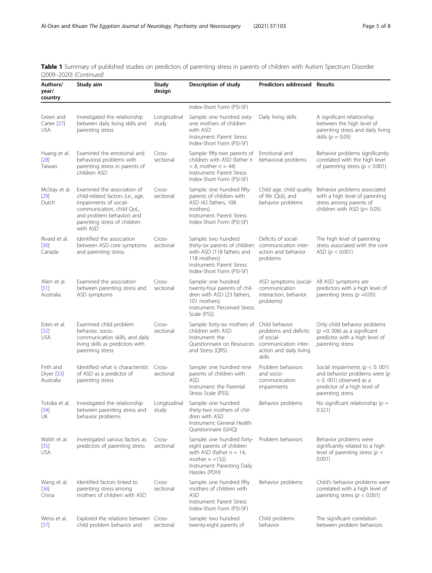Table 1 Summary of published studies on predictors of parenting stress in parents of children with Autism Spectrum Disorder (2009–2020) (Continued)

| Authors/<br>year/<br>country           | Study aim                                                                                                                                                                                        | Study<br>Description of study<br><b>Predictors addressed Results</b><br>design |                                                                                                                                                                              |                                                                                                                    |                                                                                                                                                         |  |
|----------------------------------------|--------------------------------------------------------------------------------------------------------------------------------------------------------------------------------------------------|--------------------------------------------------------------------------------|------------------------------------------------------------------------------------------------------------------------------------------------------------------------------|--------------------------------------------------------------------------------------------------------------------|---------------------------------------------------------------------------------------------------------------------------------------------------------|--|
|                                        |                                                                                                                                                                                                  |                                                                                | Index-Short Form (PSI-SF)                                                                                                                                                    |                                                                                                                    |                                                                                                                                                         |  |
| Green and<br>Carter [27]<br><b>USA</b> | Investigated the relationship<br>between daily living skills and<br>parenting stress                                                                                                             | Longitudinal<br>study                                                          | Sample: one hundred sixty-<br>one mothers of children<br>with ASD<br>Instrument: Parent Stress<br>Index-Short Form (PSI-SF)                                                  | Daily living skills                                                                                                | A significant relationship<br>between the high level of<br>parenting stress and daily living<br>skills ( $p = 0.05$ )                                   |  |
| Huang et al.<br>$[28]$<br>Taiwan       | Examined the emotional and<br>behavioral problems with<br>parenting stress in parents of<br>children ASD                                                                                         | Cross-<br>sectional                                                            | Sample: fifty-two parents of<br>children with ASD (father n<br>$= 8$ , mother $n = 44$ )<br>Instrument: Parent Stress<br>Index-Short Form (PSI-SF)                           | Emotional and<br>behavioral problems                                                                               | Behavior problems significantly<br>correlated with the high level<br>of parenting stress ( $p < 0.001$ )                                                |  |
| McStay et al.<br>$[29]$<br>Dutch       | Examined the association of<br>child-related factors (i.e., age,<br>impairments of social-<br>communication, child QoL,<br>and problem behavior) and<br>parenting stress of children<br>with ASD | Cross-<br>sectional                                                            | Sample: one hundred fifty<br>parents of children with<br>ASD (42 fathers, 108<br>mothers)<br>Instrument: Parent Stress<br>Index-Short Form (PSI-SF)                          | Child age, child quality<br>of life (Qol), and<br>behavior problems                                                | Behavior problems associated<br>with a high level of parenting<br>stress among parents of<br>children with ASD ( $p = 0.05$ )                           |  |
| Rivard et al.<br>$[30]$<br>Canada      | Identified the association<br>between ASD core symptoms<br>and parenting stress                                                                                                                  | Cross-<br>sectional                                                            | Sample: two hundred<br>thirty-six parents of children<br>with ASD (118 fathers and<br>118 mothers)<br>Instrument: Parent Stress<br>Index-Short Form (PSI-SF)                 | Deficits of social-<br>communication inter-<br>action and behavior<br>problems                                     | The high level of parenting<br>stress associated with the core<br>ASD ( $p < 0.001$ )                                                                   |  |
| Allen et al.<br>$[31]$<br>Australia    | Examined the association<br>between parenting stress and<br>ASD symptoms                                                                                                                         | Cross-<br>sectional                                                            | Sample: one hundred<br>twenty-four parents of chil-<br>dren with ASD (23 fathers,<br>101 mothers)<br>Instrument: Perceived Stress<br>Scale (PSS)                             | ASD symptoms (social-<br>communication<br>interaction, behavior<br>problems)                                       | All ASD symptoms are<br>predictors with a high level of<br>parenting stress ( $p = 0.05$ )                                                              |  |
| Estes et al.<br>$[32]$<br><b>USA</b>   | Examined child problem<br>behavior, socio-<br>communication skills, and daily<br>living skills as predictors with<br>parenting stress                                                            | Cross-<br>sectional                                                            | Sample: forty-six mothers of<br>children with ASD<br>Instrument: the<br>Questionnaire on Resources<br>and Stress (QRS)                                                       | Child behavior<br>problems and deficits<br>of social-<br>communication inter-<br>action and daily living<br>skills | Only child behavior problems<br>$(p = 0.006)$ as a significant<br>predictor with a high level of<br>parenting stress                                    |  |
| Firth and<br>Dryer [33]<br>Australia   | Identified what is characteristic Cross-<br>of ASD as a predictor of<br>parenting stress                                                                                                         | sectional                                                                      | Sample: one hundred nine<br>parents of children with<br><b>ASD</b><br>Instrument: the Parental<br>Stress Scale (PSS)                                                         | Problem behaviors<br>and socio-<br>communication<br>impairments                                                    | Social impairments ( $p < 0.001$ )<br>and behavior problems were $(p)$<br>$< 0.001$ ) observed as a<br>predictor of a high level of<br>parenting stress |  |
| $[34]$<br>UK                           | Totsika et al. Investigated the relationship Longitudinal Sample: one hundred<br>between parenting stress and<br>behavior problems                                                               | study                                                                          | thirty-two mothers of chil-<br>dren with ASD<br>Instrument: General Health<br>Questionnaire (GHQ)                                                                            | Behavior problems                                                                                                  | No significant relationship ( $p =$<br>0.321)                                                                                                           |  |
| Walsh et al.<br>$[35]$<br><b>USA</b>   | Investigated various factors as<br>predictors of parenting stress                                                                                                                                | Cross-<br>sectional                                                            | Sample: one hundred forty- Problem behaviors<br>eight parents of children<br>with ASD (father $n = 14$ ,<br>mother $n = 132$<br>Instrument: Parenting Daily<br>Hassles (PDH) |                                                                                                                    | Behavior problems were<br>significantly related to a high<br>level of parenting stress ( $p <$<br>0.001)                                                |  |
| Wang et al.<br>$[36]$<br>China         | Identified factors linked to<br>parenting stress among<br>mothers of children with ASD                                                                                                           | Cross-<br>sectional                                                            | Sample: one hundred fifty<br>mothers of children with<br><b>ASD</b><br>Instrument: Parent Stress<br>Index-Short Form (PSI-SF)                                                | Behavior problems                                                                                                  | Child's behavior problems were<br>correlated with a high level of<br>parenting stress ( $p < 0.001$ )                                                   |  |
| Weiss et al.<br>$[37]$                 | Explored the relations between Cross-<br>child problem behavior and                                                                                                                              | sectional                                                                      | Sample: two hundred<br>twenty-eight parents of                                                                                                                               | Child problems<br>behavior                                                                                         | The significant correlation<br>between problem behaviors                                                                                                |  |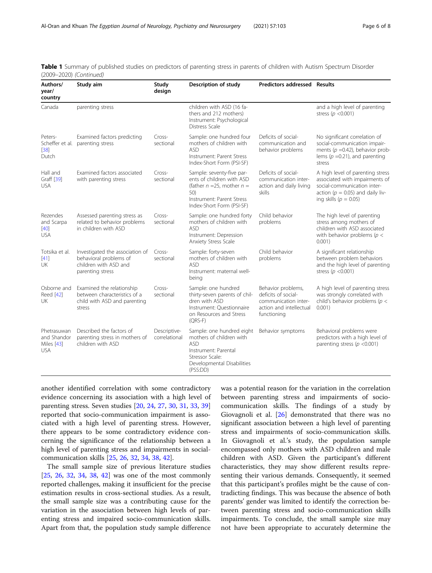| Authors/<br>Study aim<br>year/<br>country              |                                                                                                        | Study<br>design               | Description of study                                                                                                                                       | <b>Predictors addressed Results</b>                                                                         |                                                                                                                                                                        |  |
|--------------------------------------------------------|--------------------------------------------------------------------------------------------------------|-------------------------------|------------------------------------------------------------------------------------------------------------------------------------------------------------|-------------------------------------------------------------------------------------------------------------|------------------------------------------------------------------------------------------------------------------------------------------------------------------------|--|
| Canada                                                 | parenting stress                                                                                       |                               | children with ASD (16 fa-<br>thers and 212 mothers)<br>Instrument: Psychological<br>Distress Scale                                                         |                                                                                                             | and a high level of parenting<br>stress ( $p < 0.001$ )                                                                                                                |  |
| Peters-<br>$[38]$<br>Dutch                             | Examined factors predicting<br>Scheffer et al. parenting stress                                        | Cross-<br>sectional           | Sample: one hundred four<br>mothers of children with<br><b>ASD</b><br>Instrument: Parent Stress<br>Index-Short Form (PSI-SF)                               | Deficits of social-<br>communication and<br>behavior problems                                               | No significant correlation of<br>social-communication impair-<br>ments ( $p = 0.42$ ), behavior prob-<br>lems ( $p = 0.21$ ), and parenting<br>stress                  |  |
| Hall and<br>Graff [39]<br><b>USA</b>                   | Examined factors associated<br>with parenting stress                                                   | Cross-<br>sectional           | Sample: seventy-five par-<br>ents of children with ASD<br>(father $n = 25$ , mother $n =$<br>50)<br>Instrument: Parent Stress<br>Index-Short Form (PSI-SF) | Deficits of social-<br>communication inter-<br>action and daily living<br>skills                            | A high level of parenting stress<br>associated with impairments of<br>social-communication inter-<br>action ( $p = 0.05$ ) and daily liv-<br>ing skills ( $p = 0.05$ ) |  |
| Rezendes<br>and Scarpa<br>[40]<br><b>USA</b>           | Assessed parenting stress as<br>related to behavior problems<br>in children with ASD                   | Cross-<br>sectional           | Sample: one hundred forty<br>mothers of children with<br><b>ASD</b><br>Instrument: Depression<br>Anxiety Stress Scale                                      | Child behavior<br>problems                                                                                  | The high level of parenting<br>stress among mothers of<br>children with ASD associated<br>with behavior problems ( $p <$<br>$0.001$ )                                  |  |
| Totsika et al.<br>[41]<br>UK                           | Investigated the association of<br>behavioral problems of<br>children with ASD and<br>parenting stress | Cross-<br>sectional           | Sample: forty-seven<br>mothers of children with<br><b>ASD</b><br>Instrument: maternal well-<br>being                                                       | Child behavior<br>problems                                                                                  | A significant relationship<br>between problem behaviors<br>and the high level of parenting<br>stress ( $p$ < 0.001)                                                    |  |
| Osborne and<br>Reed [42]<br>UK                         | Examined the relationship<br>between characteristics of a<br>child with ASD and parenting<br>stress    | Cross-<br>sectional           | Sample: one hundred<br>thirty-seven parents of chil-<br>dren with ASD<br>Instrument: Ouestionnaire<br>on Resources and Stress<br>$(QRS-F)$                 | Behavior problems,<br>deficits of social-<br>communication inter-<br>action and intellectual<br>functioning | A high level of parenting stress<br>was strongly correlated with<br>child's behavior problems ( $p <$<br>0.001)                                                        |  |
| Phetrasuwan<br>and Shandor<br>Miles [43]<br><b>USA</b> | Described the factors of<br>parenting stress in mothers of<br>children with ASD                        | Descriptive-<br>correlational | Sample: one hundred eight<br>mothers of children with<br><b>ASD</b><br>Instrument: Parental<br>Stressor Scale:<br>Developmental Disabilities<br>(PSS:DD)   | Behavior symptoms                                                                                           | Behavioral problems were<br>predictors with a high level of<br>parenting stress ( $p$ <0.001)                                                                          |  |

| Table 1 Summary of published studies on predictors of parenting stress in parents of children with Autism Spectrum Disorder |  |  |  |  |  |  |  |
|-----------------------------------------------------------------------------------------------------------------------------|--|--|--|--|--|--|--|
| (2009–2020) (Continued)                                                                                                     |  |  |  |  |  |  |  |

another identified correlation with some contradictory evidence concerning its association with a high level of parenting stress. Seven studies [[20](#page-7-0), [24](#page-7-0), [27](#page-7-0), [30](#page-7-0), [31](#page-7-0), [33](#page-7-0), [39](#page-7-0)] reported that socio-communication impairment is associated with a high level of parenting stress. However, there appears to be some contradictory evidence concerning the significance of the relationship between a high level of parenting stress and impairments in socialcommunication skills [\[25,](#page-7-0) [26,](#page-7-0) [32,](#page-7-0) [34,](#page-7-0) [38,](#page-7-0) [42](#page-7-0)].

The small sample size of previous literature studies [[25,](#page-7-0) [26,](#page-7-0) [32](#page-7-0), [34](#page-7-0), [38](#page-7-0), [42](#page-7-0)] was one of the most commonly reported challenges, making it insufficient for the precise estimation results in cross-sectional studies. As a result, the small sample size was a contributing cause for the variation in the association between high levels of parenting stress and impaired socio-communication skills. Apart from that, the population study sample difference was a potential reason for the variation in the correlation between parenting stress and impairments of sociocommunication skills. The findings of a study by Giovagnoli et al. [[26\]](#page-7-0) demonstrated that there was no significant association between a high level of parenting stress and impairments of socio-communication skills. In Giovagnoli et al.'s study, the population sample encompassed only mothers with ASD children and male children with ASD. Given the participant's different characteristics, they may show different results representing their various demands. Consequently, it seemed that this participant's profiles might be the cause of contradicting findings. This was because the absence of both parents' gender was limited to identify the correction between parenting stress and socio-communication skills impairments. To conclude, the small sample size may not have been appropriate to accurately determine the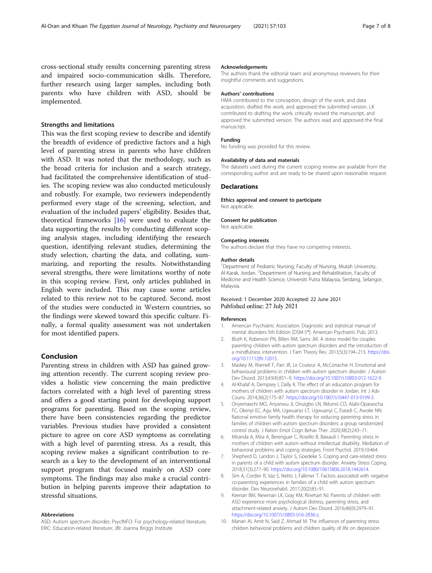<span id="page-6-0"></span>cross-sectional study results concerning parenting stress and impaired socio-communication skills. Therefore, further research using larger samples, including both parents who have children with ASD, should be implemented.

#### Strengths and limitations

This was the first scoping review to describe and identify the breadth of evidence of predictive factors and a high level of parenting stress in parents who have children with ASD. It was noted that the methodology, such as the broad criteria for inclusion and a search strategy, had facilitated the comprehensive identification of studies. The scoping review was also conducted meticulously and robustly. For example, two reviewers independently performed every stage of the screening, selection, and evaluation of the included papers' eligibility. Besides that, theoretical frameworks [[16\]](#page-7-0) were used to evaluate the data supporting the results by conducting different scoping analysis stages, including identifying the research question, identifying relevant studies, determining the study selection, charting the data, and collating, summarizing, and reporting the results. Notwithstanding several strengths, there were limitations worthy of note in this scoping review. First, only articles published in English were included. This may cause some articles related to this review not to be captured. Second, most of the studies were conducted in Western countries, so the findings were skewed toward this specific culture. Finally, a formal quality assessment was not undertaken for most identified papers.

#### Conclusion

Parenting stress in children with ASD has gained growing attention recently. The current scoping review provides a holistic view concerning the main predictive factors correlated with a high level of parenting stress and offers a good starting point for developing support programs for parenting. Based on the scoping review, there have been consistencies regarding the predictor variables. Previous studies have provided a consistent picture to agree on core ASD symptoms as correlating with a high level of parenting stress. As a result, this scoping review makes a significant contribution to research as a key to the development of an interventional support program that focused mainly on ASD core symptoms. The findings may also make a crucial contribution in helping parents improve their adaptation to stressful situations.

#### Abbreviations

ASD: Autism spectrum disorder; PsycINFO: For psychology-related literature; ERIC: Education-related literature; JBI: Joanna Briggs Institute

#### Acknowledgements

The authors thank the editorial team and anonymous reviewers for their insightful comments and suggestions.

#### Authors' contributions

HMA contributed to the conception, design of the work, and data acquisition; drafted the work, and approved the submitted version. LK contributed to drafting the work, critically revised the manuscript, and approved the submitted version. The authors read and approved the final manuscript.

#### Funding

No funding was provided for this review.

#### Availability of data and materials

The datasets used during the current scoping review are available from the corresponding author and are ready to be shared upon reasonable request.

#### **Declarations**

Ethics approval and consent to participate

Not applicable.

#### Consent for publication

Not applicable.

#### Competing interests

The authors declare that they have no competing interests.

#### Author details

<sup>1</sup>Department of Pediatric Nursing, Faculty of Nursing, Mutah University, Al-Karak, Jordan. <sup>2</sup>Department of Nursing and Rehabilitation, Faculty of Medicine and Health Science, Universiti Putra Malaysia, Serdang, Selangor, Malaysia.

#### Received: 1 December 2020 Accepted: 22 June 2021 Published online: 27 July 2021

#### References

- 1. American Psychiatric Association. Diagnostic and statistical manual of mental disorders-5th Edition [DSM-5®]. American Psychiatric Pub; 2013.
- 2. Bluth K, Roberson PN, Billen RM, Sams JM. A stress model for couples parenting children with autism spectrum disorders and the introduction of a mindfulness intervention. J Fam Theory Rev. 2013;5(3):194–213. [https://doi.](https://doi.org/10.1111/jftr.12015) [org/10.1111/jftr.12015.](https://doi.org/10.1111/jftr.12015)
- 3. Maskey M, Warnell F, Parr JR, Le Couteur A, McConachie H. Emotional and behavioural problems in children with autism spectrum disorder. J Autism Dev Disord. 2013;43(4):851–9. [https://doi.org/10.1007/s10803-012-1622-9.](https://doi.org/10.1007/s10803-012-1622-9)
- 4. Al-Khalaf A, Dempsey I, Dally K. The effect of an education program for mothers of children with autism spectrum disorder in Jordan. Int J Adv Couns. 2014;36(2):175–87. <https://doi.org/10.1007/s10447-013-9199-3>.
- 5. Onyemaechi MO, Anyanwu JI, Onuigbo LN, Ifelunni CO, Alabi-Oparaocha FC, Okenyi EC, Agu MA, Ugwuanyi LT, Ugwuanyi C, Eseadi C, Awoke NN. Rational emotive family health therapy for reducing parenting stress in families of children with autism spectrum disorders: a group randomized control study. J Ration Emot Cogn Behav Ther. 2020;38(2):243–71.
- 6. Miranda A, Mira A, Berenguer C, Rosello B, Baixauli I. Parenting stress in mothers of children with autism without intellectual disability. Mediation of behavioral problems and coping strategies. Front Psychol. 2019;10:464.
- 7. Shepherd D, Landon J, Taylor S, Goedeke S. Coping and care-related stress in parents of a child with autism spectrum disorder. Anxiety Stress Coping. 2018;31(3):277–90. <https://doi.org/10.1080/10615806.2018.1442614>.
- 8. Sim A, Cordier R, Vaz S, Netto J, Falkmer T. Factors associated with negative co-parenting experiences in families of a child with autism spectrum disorder. Dev Neurorehabil. 2017;20(2):83–91.
- 9. Keenan BM, Newman LK, Gray KM, Rinehart NJ. Parents of children with ASD experience more psychological distress, parenting stress, and attachment-related anxiety. J Autism Dev Disord. 2016;46(9):2979–91. [https://doi.org/10.1007/s10803-016-2836-z.](https://doi.org/10.1007/s10803-016-2836-z)
- 10. Manan AI, Amit N, Said Z, Ahmad M. The influences of parenting stress children behavioral problems and children quality of life on depression